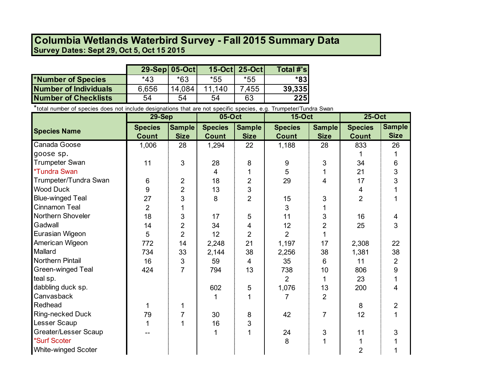## **Survey Dates: Sept 29, Oct 5, Oct 15 2015 Columbia Wetlands Waterbird Survey - Fall 2015 Summary Data**

|                             | 29-Sep 05-Oct |        |        | 15-Oct 25-Oct | Total #'sl       |
|-----------------------------|---------------|--------|--------|---------------|------------------|
| *Number of Species          | $*43$         | $*63$  | *55    | *55           | $*83I$           |
| Number of Individuals       | 6,656         | 14.084 | 11.140 | 7,455         | 39,335           |
| <b>Number of Checklists</b> | 54            | 54     | 54     | 63            | $\overline{225}$ |

\*total number of species does not include designations that are not specific species, e.g. Trumpeter/Tundra Swan

|                            | <b>29-Sep</b>  |                | 05-Oct         |                | <b>15-Oct</b>  |                | 25-Oct          |                |
|----------------------------|----------------|----------------|----------------|----------------|----------------|----------------|-----------------|----------------|
| <b>Species Name</b>        | <b>Species</b> | <b>Sample</b>  | <b>Species</b> | <b>Sample</b>  | <b>Species</b> | <b>Sample</b>  | <b>Species</b>  | <b>Sample</b>  |
|                            | <b>Count</b>   | <b>Size</b>    | <b>Count</b>   | <b>Size</b>    | <b>Count</b>   | <b>Size</b>    | <b>Count</b>    | <b>Size</b>    |
| Canada Goose               | 1,006          | 28             | 1,294          | 22             | 1,188          | 28             | 833             | 26             |
| goose sp.                  |                |                |                |                |                |                |                 |                |
| <b>Trumpeter Swan</b>      | 11             | 3              | 28             | 8              | 9              | 3              | 34              | 6              |
| <i><b>*Tundra Swan</b></i> |                |                | $\overline{4}$ |                | 5              |                | 21              | $\mathfrak{S}$ |
| Trumpeter/Tundra Swan      | 6              | $\overline{2}$ | 18             | $\overline{2}$ | 29             | 4              | 17              | 3              |
| <b>Wood Duck</b>           | 9              | $\overline{2}$ | 13             | 3              |                |                | 4               |                |
| <b>Blue-winged Teal</b>    | 27             | 3              | 8              | $\overline{2}$ | 15             | 3              | $\overline{2}$  |                |
| Cinnamon Teal              | $\overline{2}$ |                |                |                | 3              |                |                 |                |
| Northern Shoveler          | 18             | 3              | 17             | 5              | 11             | 3              | 16              | $\overline{4}$ |
| Gadwall                    | 14             | $\overline{2}$ | 34             | 4              | 12             | $\overline{2}$ | 25              | $\overline{3}$ |
| Eurasian Wigeon            | 5              | $\overline{2}$ | 12             | $\overline{2}$ | $\overline{2}$ |                |                 |                |
| American Wigeon            | 772            | 14             | 2,248          | 21             | 1,197          | 17             | 2,308           | 22             |
| Mallard                    | 734            | 33             | 2,144          | 38             | 2,256          | 38             | 1,381           | 38             |
| Northern Pintail           | 16             | 3              | 59             | $\overline{4}$ | 35             | 6              | 11              | $\overline{2}$ |
| Green-winged Teal          | 424            | $\overline{7}$ | 794            | 13             | 738            | 10             | 806             | 9              |
| teal sp.                   |                |                |                |                | $\overline{2}$ |                | 23              |                |
| dabbling duck sp.          |                |                | 602            | 5              | 1,076          | 13             | 200             | $\overline{4}$ |
| Canvasback                 |                |                |                |                | 7              | $\overline{2}$ |                 |                |
| Redhead                    |                | 1              |                |                |                |                | 8               | $\overline{2}$ |
| Ring-necked Duck           | 79             |                | 30             | 8              | 42             | $\overline{7}$ | 12 <sup>°</sup> | $\mathbf{1}$   |
| Lesser Scaup               |                |                | 16             | 3              |                |                |                 |                |
| Greater/Lesser Scaup       |                |                |                |                | 24             | 3              | 11              | 3              |
| *Surf Scoter               |                |                |                |                | 8              | 1              |                 |                |
| <b>White-winged Scoter</b> |                |                |                |                |                |                | $\overline{2}$  |                |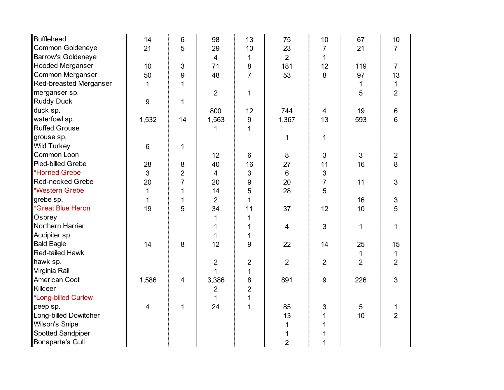| <b>Bufflehead</b>               | 14                      | 6              | 98             | 13               | 75             | 10               | 67             | 10                        |
|---------------------------------|-------------------------|----------------|----------------|------------------|----------------|------------------|----------------|---------------------------|
| Common Goldeneye                | 21                      | 5              | 29             | 10               | 23             | $\overline{7}$   | 21             | $\overline{7}$            |
| <b>Barrow's Goldeneye</b>       |                         |                | 4              | 1                | $\overline{2}$ | $\mathbf{1}$     |                |                           |
| <b>Hooded Merganser</b>         | 10                      | 3              | 71             | 8                | 181            | 12               | 119            | $\overline{7}$            |
| Common Merganser                | 50                      | 9              | 48             | $\overline{7}$   | 53             | 8                | 97             | 13                        |
| Red-breasted Merganser          | 1                       | $\mathbf{1}$   |                |                  |                |                  | 1              | $\mathbf{1}$              |
| merganser sp.                   |                         |                | $\overline{2}$ | 1                |                |                  | 5              | $\overline{2}$            |
| <b>Ruddy Duck</b>               | 9                       | 1              |                |                  |                |                  |                |                           |
| duck sp.                        |                         |                | 800            | 12               | 744            | 4                | 19             | $\,6$                     |
| waterfowl sp.                   | 1,532                   | 14             | 1,563          | $\boldsymbol{9}$ | 1,367          | 13               | 593            | $6\phantom{1}$            |
| <b>Ruffed Grouse</b>            |                         |                | 1              | $\mathbf{1}$     |                |                  |                |                           |
| grouse sp.                      |                         |                |                |                  | 1              | 1                |                |                           |
| <b>Wild Turkey</b>              | 6                       | 1              |                |                  |                |                  |                |                           |
| Common Loon                     |                         |                | 12             | $\,6\,$          | $\,8\,$        | $\mathfrak{S}$   | 3              | $\sqrt{2}$                |
| Pied-billed Grebe               | 28                      | 8              | 40             | 16               | 27             | 11               | 16             | 8                         |
| *Horned Grebe                   | 3                       | $\overline{c}$ | 4              | 3                | $\,6\,$        | 3                |                |                           |
| Red-necked Grebe                | 20                      | $\overline{7}$ | 20             | 9                | 20             | $\overline{7}$   | 11             | 3                         |
| *Western Grebe                  | 1                       | 1              | 14             | 5                | 28             | 5                |                |                           |
| grebe sp.                       | 1                       | 1              | $\overline{2}$ | 1                |                |                  | 16             | $\ensuremath{\mathsf{3}}$ |
| <i><b>*Great Blue Heron</b></i> | 19                      | 5              | 34             | 11               | 37             | 12               | 10             | 5                         |
| Osprey                          |                         |                | 1              | 1                |                |                  |                |                           |
| Northern Harrier                |                         |                | 1              | 1                | 4              | 3                | $\mathbf 1$    | $\mathbf{1}$              |
| Accipiter sp.                   |                         |                | $\mathbf{1}$   | 1                |                |                  |                |                           |
| <b>Bald Eagle</b>               | 14                      | 8              | 12             | 9                | 22             | 14               | 25             | 15                        |
| Red-tailed Hawk                 |                         |                |                |                  |                |                  | 1              | $\mathbf{1}$              |
| hawk sp.                        |                         |                | $\overline{c}$ | $\overline{2}$   | $\overline{2}$ | $\overline{2}$   | $\overline{2}$ | $\overline{2}$            |
| Virginia Rail                   |                         |                | 1              | 1                |                |                  |                |                           |
| American Coot                   | 1,586                   | 4              | 3,386          | $\bf 8$          | 891            | $\boldsymbol{9}$ | 226            | 3                         |
| Killdeer                        |                         |                | $\overline{2}$ | $\overline{2}$   |                |                  |                |                           |
| *Long-billed Curlew             |                         |                | $\mathbf{1}$   | $\mathbf 1$      |                |                  |                |                           |
| peep sp.                        | $\overline{\mathbf{4}}$ | 1              | 24             | $\overline{1}$   | 85             | 3                | 5              | 1                         |
| Long-billed Dowitcher           |                         |                |                |                  | 13             | $\mathbf{1}$     | 10             | $\overline{2}$            |
| <b>Wilson's Snipe</b>           |                         |                |                |                  | 1              | 1                |                |                           |
| Spotted Sandpiper               |                         |                |                |                  | 1              |                  |                |                           |
| <b>Bonaparte's Gull</b>         |                         |                |                |                  | $\overline{2}$ | 1                |                |                           |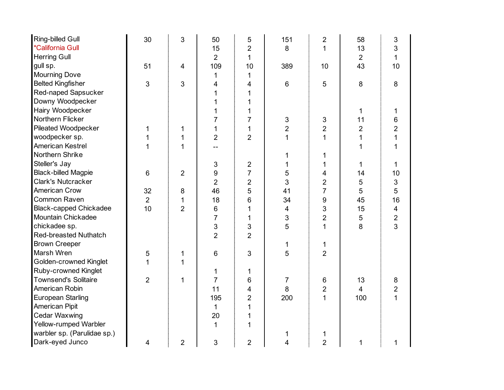| Ring-billed Gull              | 30             | 3              | 50             | 5              | 151            | $\overline{2}$          | 58             | 3                       |
|-------------------------------|----------------|----------------|----------------|----------------|----------------|-------------------------|----------------|-------------------------|
| *California Gull              |                |                | 15             | $\overline{2}$ | $\,8\,$        | $\mathbf 1$             | 13             | 3                       |
| <b>Herring Gull</b>           |                |                | $\overline{2}$ | $\mathbf{1}$   |                |                         | $\overline{2}$ | $\mathbf 1$             |
| gull sp.                      | 51             | 4              | 109            | 10             | 389            | 10                      | 43             | 10                      |
| <b>Mourning Dove</b>          |                |                | 1              | 1              |                |                         |                |                         |
| <b>Belted Kingfisher</b>      | 3              | 3              | 4              | 4              | $6\phantom{1}$ | 5                       | 8              | 8                       |
| Red-naped Sapsucker           |                |                |                |                |                |                         |                |                         |
| Downy Woodpecker              |                |                |                |                |                |                         |                |                         |
| Hairy Woodpecker              |                |                |                |                |                |                         | 1.             | 1                       |
| Northern Flicker              |                |                | 7              | 7              | $\sqrt{3}$     | $\sqrt{3}$              | 11             | 6                       |
| Pileated Woodpecker           |                | 1              | 1              | 1              | $\overline{2}$ | $\overline{2}$          | $\overline{2}$ | $\overline{2}$          |
| woodpecker sp.                |                | 1              | $\overline{2}$ | $\overline{2}$ | $\mathbf{1}$   | $\mathbf{1}$            | 1              | $\overline{1}$          |
| American Kestrel              |                | 1              |                |                |                |                         | 1              | $\mathbf{1}$            |
| Northern Shrike               |                |                |                |                |                | 1                       |                |                         |
| Steller's Jay                 |                |                | 3              | $\overline{c}$ |                | 1                       | 1.             | $\mathbf{1}$            |
| <b>Black-billed Magpie</b>    | 6              | $\overline{2}$ | 9              | $\overline{7}$ | 5              | 4                       | 14             | 10                      |
| <b>Clark's Nutcracker</b>     |                |                | $\overline{2}$ | $\overline{2}$ | 3              | $\overline{2}$          | 5              | $\mathfrak{S}$          |
| American Crow                 | 32             | 8              | 46             | 5              | 41             | $\overline{7}$          | 5              | 5                       |
| <b>Common Raven</b>           | $\overline{2}$ | 1              | 18             | 6              | 34             | 9                       | 45             | 16                      |
| <b>Black-capped Chickadee</b> | 10             | $\overline{2}$ | $\,6$          | 1              | 4              | 3                       | 15             | $\overline{\mathbf{4}}$ |
| Mountain Chickadee            |                |                | 7              | 1              | 3              | $\overline{2}$          | 5              | $\overline{c}$          |
| chickadee sp.                 |                |                | 3              | 3              | 5              | $\overline{1}$          | 8              | $\overline{3}$          |
| <b>Red-breasted Nuthatch</b>  |                |                | $\overline{2}$ | $\overline{2}$ |                |                         |                |                         |
| <b>Brown Creeper</b>          |                |                |                |                | 1              | $\mathbf 1$             |                |                         |
| Marsh Wren                    | 5              | 1              | $\,6$          | 3              | 5              | $\overline{2}$          |                |                         |
| Golden-crowned Kinglet        |                | 1              |                |                |                |                         |                |                         |
| Ruby-crowned Kinglet          |                |                | 1              | 1              |                |                         |                |                         |
| <b>Townsend's Solitaire</b>   | $\overline{2}$ | 1              | $\overline{7}$ | 6              | 7              | 6                       | 13             | 8                       |
| American Robin                |                |                | 11             | 4              | 8              | $\overline{\mathbf{c}}$ | $\overline{4}$ | $\overline{c}$          |
| European Starling             |                |                | 195            | $\overline{2}$ | 200            | $\mathbf{1}$            | 100            | $\mathbf{1}$            |
| American Pipit                |                |                | 1              | 1              |                |                         |                |                         |
| <b>Cedar Waxwing</b>          |                |                | 20             |                |                |                         |                |                         |
| Yellow-rumped Warbler         |                |                | $\mathbf{1}$   | 1              |                |                         |                |                         |
| warbler sp. (Parulidae sp.)   |                |                |                |                |                | 1                       |                |                         |
| Dark-eyed Junco               | 4              | $\overline{2}$ | 3              | $\overline{2}$ | 4              | $\overline{2}$          | 1              | 1                       |